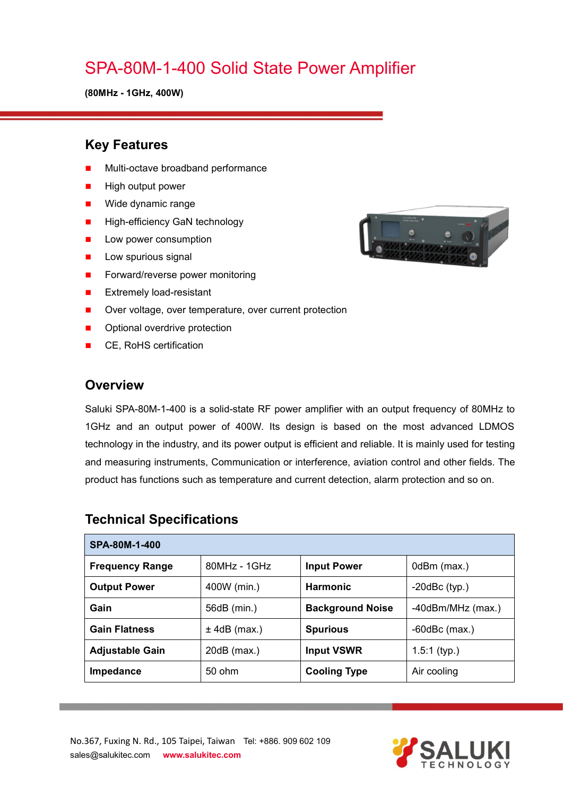## SPA-80M-1-400 Solid State Power Amplifier

**(80MHz - 1GHz, 400W)**

#### **Key Features**

- Multi-octave broadband performance
- High output power
- **Nide dynamic range**
- **High-efficiency GaN technology**
- **Low power consumption**
- $\blacksquare$  Low spurious signal
- Forward/reverse power monitoring
- **EXtremely load-resistant**
- Over voltage, over temperature, over current protection
- **Department** Optional overdrive protection
- CE, RoHS certification

#### **Overview**

Saluki SPA-80M-1-400 is a solid-state RF power amplifier with an output frequency of 80MHz to 1GHz and an output power of 400W. Its design is based on the most advanced LDMOS technology in the industry, and its power output is efficient and reliable. It is mainly used for testing and measuring instruments, Communication or interference, aviation control and other fields. The product has functions such as temperature and current detection, alarm protection and so on.

| SPA-80M-1-400          |                |                         |                     |  |
|------------------------|----------------|-------------------------|---------------------|--|
| <b>Frequency Range</b> | $80MHz - 1GHz$ | <b>Input Power</b>      | 0dBm (max.)         |  |
| <b>Output Power</b>    | 400W (min.)    | <b>Harmonic</b>         | $-20$ dBc $(typ.)$  |  |
| Gain                   | 56dB (min.)    | <b>Background Noise</b> | -40dBm/MHz (max.)   |  |
| <b>Gain Flatness</b>   | $±$ 4dB (max.) | <b>Spurious</b>         | $-60$ d $Bc$ (max.) |  |
| <b>Adjustable Gain</b> | $20dB$ (max.)  | <b>Input VSWR</b>       | $1.5:1$ (typ.)      |  |
| Impedance              | 50 ohm         | <b>Cooling Type</b>     | Air cooling         |  |

#### **Technical Specifications**